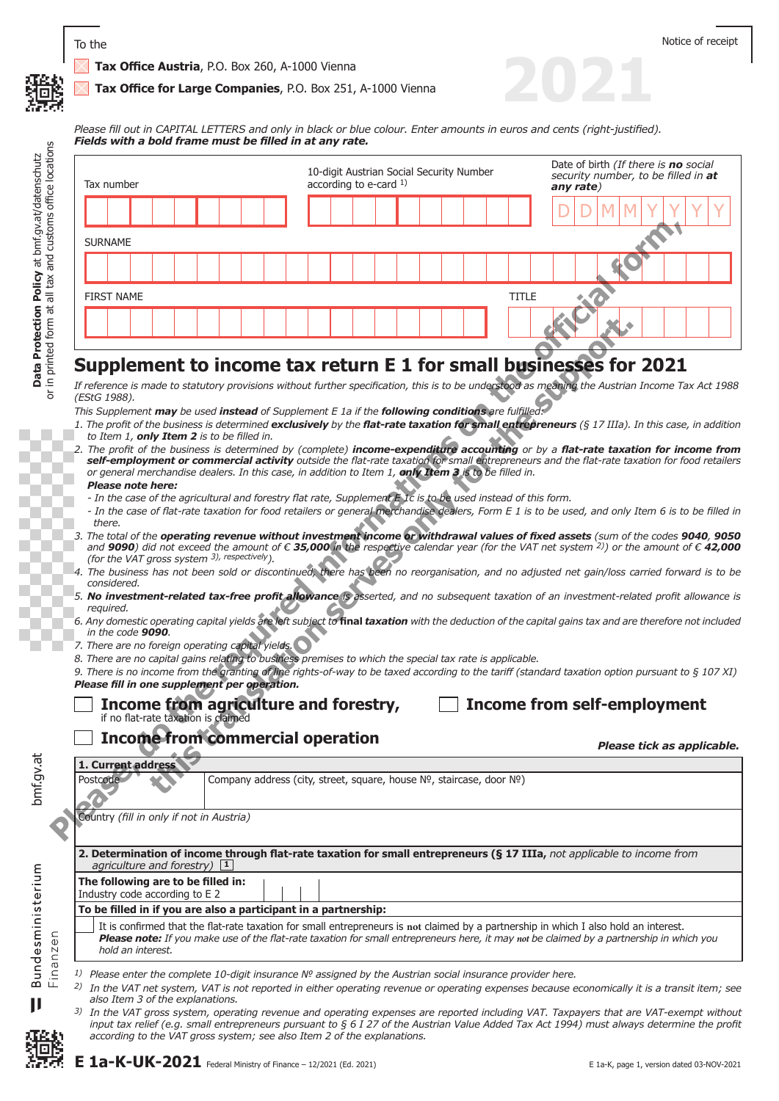#### **Tax Office for Large Companies**, P.O. Box 251, A-1000 Vienna

*Please fill out in CAPITAL LETTERS and only in black or blue colour. Enter amounts in euros and cents (right-justified). Fields with a bold frame must be filled in at any rate.*

|                | Tax number                                                                                                                                                                                                                                                                                                                                                                                                                                                                  |  |                                                                      |  | 10-digit Austrian Social Security Number<br>according to e-card $1$ ) |  |  |              | Date of birth (If there is no social<br>security number, to be filled in at<br>any rate)                                                                                                                                                                                                                                                                                                                                                                                                                                                                                                                                                                                                                                                                                                                                                                                                                                                                                                                                                                                                                                                                                                                                                                                       |
|----------------|-----------------------------------------------------------------------------------------------------------------------------------------------------------------------------------------------------------------------------------------------------------------------------------------------------------------------------------------------------------------------------------------------------------------------------------------------------------------------------|--|----------------------------------------------------------------------|--|-----------------------------------------------------------------------|--|--|--------------|--------------------------------------------------------------------------------------------------------------------------------------------------------------------------------------------------------------------------------------------------------------------------------------------------------------------------------------------------------------------------------------------------------------------------------------------------------------------------------------------------------------------------------------------------------------------------------------------------------------------------------------------------------------------------------------------------------------------------------------------------------------------------------------------------------------------------------------------------------------------------------------------------------------------------------------------------------------------------------------------------------------------------------------------------------------------------------------------------------------------------------------------------------------------------------------------------------------------------------------------------------------------------------|
|                |                                                                                                                                                                                                                                                                                                                                                                                                                                                                             |  |                                                                      |  |                                                                       |  |  |              |                                                                                                                                                                                                                                                                                                                                                                                                                                                                                                                                                                                                                                                                                                                                                                                                                                                                                                                                                                                                                                                                                                                                                                                                                                                                                |
| <b>SURNAME</b> |                                                                                                                                                                                                                                                                                                                                                                                                                                                                             |  |                                                                      |  |                                                                       |  |  |              |                                                                                                                                                                                                                                                                                                                                                                                                                                                                                                                                                                                                                                                                                                                                                                                                                                                                                                                                                                                                                                                                                                                                                                                                                                                                                |
|                |                                                                                                                                                                                                                                                                                                                                                                                                                                                                             |  |                                                                      |  |                                                                       |  |  |              |                                                                                                                                                                                                                                                                                                                                                                                                                                                                                                                                                                                                                                                                                                                                                                                                                                                                                                                                                                                                                                                                                                                                                                                                                                                                                |
|                | <b>FIRST NAME</b>                                                                                                                                                                                                                                                                                                                                                                                                                                                           |  |                                                                      |  |                                                                       |  |  | <b>TITLE</b> |                                                                                                                                                                                                                                                                                                                                                                                                                                                                                                                                                                                                                                                                                                                                                                                                                                                                                                                                                                                                                                                                                                                                                                                                                                                                                |
|                |                                                                                                                                                                                                                                                                                                                                                                                                                                                                             |  |                                                                      |  |                                                                       |  |  |              |                                                                                                                                                                                                                                                                                                                                                                                                                                                                                                                                                                                                                                                                                                                                                                                                                                                                                                                                                                                                                                                                                                                                                                                                                                                                                |
| there.         | (EStG 1988).<br>This Supplement may be used instead of Supplement E 1a if the following conditions are fulfilled<br>to Item 1, only Item 2 is to be filled in.<br>or general merchandise dealers. In this case, in addition to Item 1, only Item 3 is to be filled in.<br>Please note here:<br>- In the case of the agricultural and forestry flat rate, Supplement E Ic is to be used instead of this form.<br>(for the VAT gross system 3), respectively).<br>considered. |  |                                                                      |  |                                                                       |  |  |              | Supplement to income tax return E 1 for small businesses for 2021<br>If reference is made to statutory provisions without further specification, this is to be understood as meaning the Austrian Income Tax Act 1988<br>1. The profit of the business is determined exclusively by the flat-rate taxation for small entrepreneurs (§ 17 IIIa). In this case, in addition<br>2. The profit of the business is determined by (complete) income-expenditure accounting or by a flat-rate taxation for income from<br>self-employment or commercial activity outside the flat-rate taxation for small entrepreneurs and the flat-rate taxation for food retailers<br>- In the case of flat-rate taxation for food retailers or general merchandise dealers, Form E 1 is to be used, and only Item 6 is to be filled in<br>3. The total of the operating revenue without investment income or withdrawal values of fixed assets (sum of the codes 9040, 9050<br>and 9090) did not exceed the amount of $\epsilon$ 35,000 in the respective calendar year (for the VAT net system <sup>2)</sup> ) or the amount of $\epsilon$ 42,000<br>4. The business has not been sold or discontinued, there has been no reorganisation, and no adjusted net gain/loss carried forward is to be |
| required.      | in the code 9090.                                                                                                                                                                                                                                                                                                                                                                                                                                                           |  |                                                                      |  |                                                                       |  |  |              | 5. No investment-related tax-free profit allowance is asserted, and no subsequent taxation of an investment-related profit allowance is<br>6. Any domestic operating capital yields are left subject to final taxation with the deduction of the capital gains tax and are therefore not included                                                                                                                                                                                                                                                                                                                                                                                                                                                                                                                                                                                                                                                                                                                                                                                                                                                                                                                                                                              |
|                | 7. There are no foreign operating capital yields.<br>8. There are no capital gains relating to business premises to which the special tax rate is applicable.<br>Please fill in one supplement per operation.                                                                                                                                                                                                                                                               |  |                                                                      |  |                                                                       |  |  |              | 9. There is no income from the granting of line rights-of-way to be taxed according to the tariff (standard taxation option pursuant to § 107 XI)                                                                                                                                                                                                                                                                                                                                                                                                                                                                                                                                                                                                                                                                                                                                                                                                                                                                                                                                                                                                                                                                                                                              |
|                | Income from agriculture and forestry,<br>if no flat-rate taxation is claimed                                                                                                                                                                                                                                                                                                                                                                                                |  |                                                                      |  |                                                                       |  |  |              | <b>Income from self-employment</b>                                                                                                                                                                                                                                                                                                                                                                                                                                                                                                                                                                                                                                                                                                                                                                                                                                                                                                                                                                                                                                                                                                                                                                                                                                             |
|                |                                                                                                                                                                                                                                                                                                                                                                                                                                                                             |  |                                                                      |  |                                                                       |  |  |              |                                                                                                                                                                                                                                                                                                                                                                                                                                                                                                                                                                                                                                                                                                                                                                                                                                                                                                                                                                                                                                                                                                                                                                                                                                                                                |
|                | <b>Income from commercial operation</b>                                                                                                                                                                                                                                                                                                                                                                                                                                     |  |                                                                      |  |                                                                       |  |  |              | Please tick as applicable.                                                                                                                                                                                                                                                                                                                                                                                                                                                                                                                                                                                                                                                                                                                                                                                                                                                                                                                                                                                                                                                                                                                                                                                                                                                     |
|                | 1. Current address                                                                                                                                                                                                                                                                                                                                                                                                                                                          |  |                                                                      |  |                                                                       |  |  |              |                                                                                                                                                                                                                                                                                                                                                                                                                                                                                                                                                                                                                                                                                                                                                                                                                                                                                                                                                                                                                                                                                                                                                                                                                                                                                |
| Postcode       |                                                                                                                                                                                                                                                                                                                                                                                                                                                                             |  | Company address (city, street, square, house Nº, staircase, door Nº) |  |                                                                       |  |  |              |                                                                                                                                                                                                                                                                                                                                                                                                                                                                                                                                                                                                                                                                                                                                                                                                                                                                                                                                                                                                                                                                                                                                                                                                                                                                                |

### **Supplement to income tax return E 1 for small businesses for 2021**

- *1. The profit of the business is determined exclusively by the flat-rate taxation for small entrepreneurs (§ 17 IIIa). In this case, in addition to Item 1, only Item 2 is to be filled in.*
- *2. The profit of the business is determined by (complete) income-expenditure accounting or by a flat-rate taxation for income from self-employment or commercial activity outside the flat-rate taxation for small entrepreneurs and the flat-rate taxation for food retailers or general merchandise dealers. In this case, in addition to Item 1, only Item 3 is to be filled in. Please note here:* **there there this translation the supplement E l a** *i* **f o c c i c i c c i c i c i c i c i c i c i c i c i c i c i c i c i c i c i c**
- *In the case of the agricultural and forestry flat rate, Supplement E 1c is to be used instead of this form.*
- *In the case of flat-rate taxation for food retailers or general merchandise dealers, Form E 1 is to be used, and only Item 6 is to be filled in there.*
- *3. The total of the operating revenue without investment income or withdrawal values of fixed assets (sum of the codes 9040, 9050 and 9090) did not exceed the amount of € 35,000 in the respective calendar year (for the VAT net system 2)) or the amount of € 42,000 (for the VAT gross system 3), respectively).*
- *4. The business has not been sold or discontinued, there has been no reorganisation, and no adjusted net gain/loss carried forward is to be considered.*
- *5. No investment-related tax-free profit allowance is asserted, and no subsequent taxation of an investment-related profit allowance is required.*
- *6. Any domestic operating capital yields are left subject to* **final** *taxation with the deduction of the capital gains tax and are therefore not included in the code 9090.*
- *7. There are no foreign operating capital yields.*
- *8. There are no capital gains relating to business premises to which the special tax rate is applicable.*

| Income from agriculture and forestry, |  |  |  |
|---------------------------------------|--|--|--|
| if no flat-rate taxation is claimed   |  |  |  |

## **Income from commercial operation**

**To be filled in if you are also a participant in a partnership:**

### **Income from self-employment**

**2021**

bmf.gv.at **Data Protection Policy** at bmf.gv.at/datenschutz bmf.gv.at

ε

|  | hold an interest.                                                                                                                                                                                                                                                      |
|--|------------------------------------------------------------------------------------------------------------------------------------------------------------------------------------------------------------------------------------------------------------------------|
|  | $^{1}$ Please enter the complete 10-digit insurance Nº assigned by the Austrian social insurance provider here.<br>$^{2}$ ) In the VAT net system, VAT is not reported in either operating revenue or operating expenses because e<br>also Item 3 of the explanations. |

**The following are to be filled in:**  Industry code according to E 2

*3) In the VAT gross system, operating revenue and operating expenses are reported including VAT. Taxpayers that are VAT-exempt without input tax relief (e.g. small entrepreneurs pursuant to § 6 I 27 of the Austrian Value Added Tax Act 1994) must always determine the profit according to the VAT gross system; see also Item 2 of the explanations.*

**2. Determination of income through flat-rate taxation for small entrepreneurs (§ 17 IIIa,** *not applicable to income from agriculture and forestry***) <b>1** 

It is confirmed that the flat-rate taxation for small entrepreneurs is **not** claimed by a partnership in which I also hold an interest. **Please note:** If you make use of the flat-rate taxation for small entrepreneurs here, it may not be claimed by a partnership in which you

*2) In the VAT net system, VAT is not reported in either operating revenue or operating expenses because economically it is a transit item; see* 

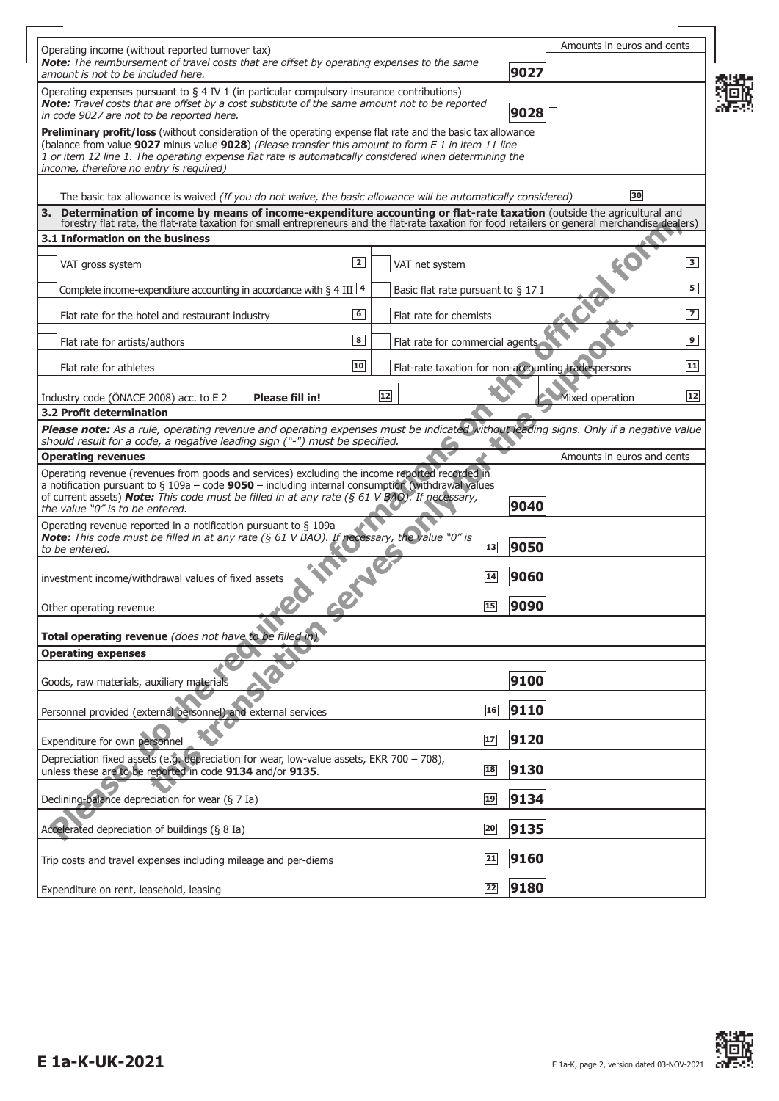|                                                                                                                                                                                                                  |            |                 |                                                     |      | Amounts in euros and cents |                          |
|------------------------------------------------------------------------------------------------------------------------------------------------------------------------------------------------------------------|------------|-----------------|-----------------------------------------------------|------|----------------------------|--------------------------|
| Operating income (without reported turnover tax)<br>Note: The reimbursement of travel costs that are offset by operating expenses to the same                                                                    |            |                 |                                                     |      |                            |                          |
| amount is not to be included here.                                                                                                                                                                               |            |                 |                                                     | 9027 |                            |                          |
| Operating expenses pursuant to $\S 4$ IV 1 (in particular compulsory insurance contributions)<br>Note: Travel costs that are offset by a cost substitute of the same amount not to be reported                   |            |                 |                                                     |      |                            |                          |
| in code 9027 are not to be reported here.                                                                                                                                                                        |            |                 |                                                     | 9028 |                            |                          |
| <b>Preliminary profit/loss</b> (without consideration of the operating expense flat rate and the basic tax allowance                                                                                             |            |                 |                                                     |      |                            |                          |
| (balance from value 9027 minus value 9028) (Please transfer this amount to form E 1 in item 11 line<br>1 or item 12 line 1. The operating expense flat rate is automatically considered when determining the     |            |                 |                                                     |      |                            |                          |
| income, therefore no entry is required)                                                                                                                                                                          |            |                 |                                                     |      |                            |                          |
| The basic tax allowance is waived (If you do not waive, the basic allowance will be automatically considered)                                                                                                    |            |                 |                                                     |      | 30                         |                          |
| 3. Determination of income by means of income-expenditure accounting or flat-rate taxation (outside the agricultural and                                                                                         |            |                 |                                                     |      |                            |                          |
| forestry flat rate, the flat-rate taxation for small entrepreneurs and the flat-rate taxation for food retailers or general merchandise dealers)<br>3.1 Information on the business                              |            |                 |                                                     |      |                            |                          |
|                                                                                                                                                                                                                  |            |                 |                                                     |      |                            |                          |
| VAT gross system                                                                                                                                                                                                 | $\sqrt{2}$ |                 | VAT net system                                      |      |                            | $\sqrt{3}$               |
| Complete income-expenditure accounting in accordance with § 4 III $\frac{4}{3}$                                                                                                                                  |            |                 | Basic flat rate pursuant to $\S$ 17 I               |      |                            | $\overline{\phantom{a}}$ |
|                                                                                                                                                                                                                  |            |                 |                                                     |      |                            |                          |
| Flat rate for the hotel and restaurant industry                                                                                                                                                                  | 6          |                 | Flat rate for chemists                              |      |                            | $\overline{7}$           |
| Flat rate for artists/authors                                                                                                                                                                                    | 8          |                 | Flat rate for commercial agents                     |      |                            | $\boxed{9}$              |
| Flat rate for athletes                                                                                                                                                                                           | 10         |                 | Flat-rate taxation for non-accounting tradespersons |      |                            | $\sqrt{11}$              |
|                                                                                                                                                                                                                  |            |                 |                                                     |      |                            |                          |
| Industry code (ONACE 2008) acc. to E 2<br>Please fill in!                                                                                                                                                        |            | $\overline{12}$ |                                                     |      | Mixed operation            | 12                       |
| 3.2 Profit determination                                                                                                                                                                                         |            |                 |                                                     |      |                            |                          |
| Please note: As a rule, operating revenue and operating expenses must be indicated without leading signs. Only if a negative value<br>should result for a code, a negative leading sign ("-") must be specified. |            |                 |                                                     |      |                            |                          |
| <b>Operating revenues</b>                                                                                                                                                                                        |            |                 |                                                     |      | Amounts in euros and cents |                          |
| Operating revenue (revenues from goods and services) excluding the income reported recorded in                                                                                                                   |            |                 |                                                     |      |                            |                          |
| a notification pursuant to $\S$ 109a – code 9050 – including internal consumption (withdrawal values<br>of current assets) <b>Note:</b> This code must be filled in at any rate ( $\S 61 V BAO$ ). If necessary, |            |                 |                                                     |      |                            |                          |
| the value "0" is to be entered.                                                                                                                                                                                  |            |                 |                                                     | 9040 |                            |                          |
| Operating revenue reported in a notification pursuant to $\S$ 109a<br>Note: This code must be filled in at any rate (§ 61 V BAO). If necessary, the value "0" is                                                 |            |                 |                                                     |      |                            |                          |
| to be entered.                                                                                                                                                                                                   |            |                 | 13                                                  | 9050 |                            |                          |
|                                                                                                                                                                                                                  |            |                 | 14                                                  | 9060 |                            |                          |
| investment income/withdrawal values of fixed assets                                                                                                                                                              |            |                 |                                                     |      |                            |                          |
| Other operating revenue                                                                                                                                                                                          |            |                 | 15                                                  | 9090 |                            |                          |
|                                                                                                                                                                                                                  |            |                 |                                                     |      |                            |                          |
| Total operating revenue (does not have to be filled in).                                                                                                                                                         |            |                 |                                                     |      |                            |                          |
| <b>Operating expenses</b>                                                                                                                                                                                        |            |                 |                                                     |      |                            |                          |
| Goods, raw materials, auxiliary materials                                                                                                                                                                        |            |                 |                                                     | 9100 |                            |                          |
|                                                                                                                                                                                                                  |            |                 |                                                     |      |                            |                          |
| Personnel provided (external personnel) and external services                                                                                                                                                    |            |                 | 16                                                  | 9110 |                            |                          |
| Expenditure for own personnel                                                                                                                                                                                    |            |                 | 17                                                  | 9120 |                            |                          |
| Depreciation fixed assets (e.g. depreciation for wear, low-value assets, EKR 700 - 708),                                                                                                                         |            |                 |                                                     |      |                            |                          |
| unless these are to be reported in code 9134 and/or 9135.                                                                                                                                                        |            |                 | 18                                                  | 9130 |                            |                          |
| Declining-balance depreciation for wear (§ 7 Ia)                                                                                                                                                                 |            |                 | 19                                                  | 9134 |                            |                          |
|                                                                                                                                                                                                                  |            |                 |                                                     |      |                            |                          |
| Accelerated depreciation of buildings (§ 8 Ia)                                                                                                                                                                   |            |                 | $\overline{20}$                                     | 9135 |                            |                          |
|                                                                                                                                                                                                                  |            |                 |                                                     |      |                            |                          |
| Trip costs and travel expenses including mileage and per-diems                                                                                                                                                   |            |                 | $\boxed{21}$                                        | 9160 |                            |                          |
| Expenditure on rent, leasehold, leasing                                                                                                                                                                          |            |                 | 22                                                  | 9180 |                            |                          |
|                                                                                                                                                                                                                  |            |                 |                                                     |      |                            |                          |



4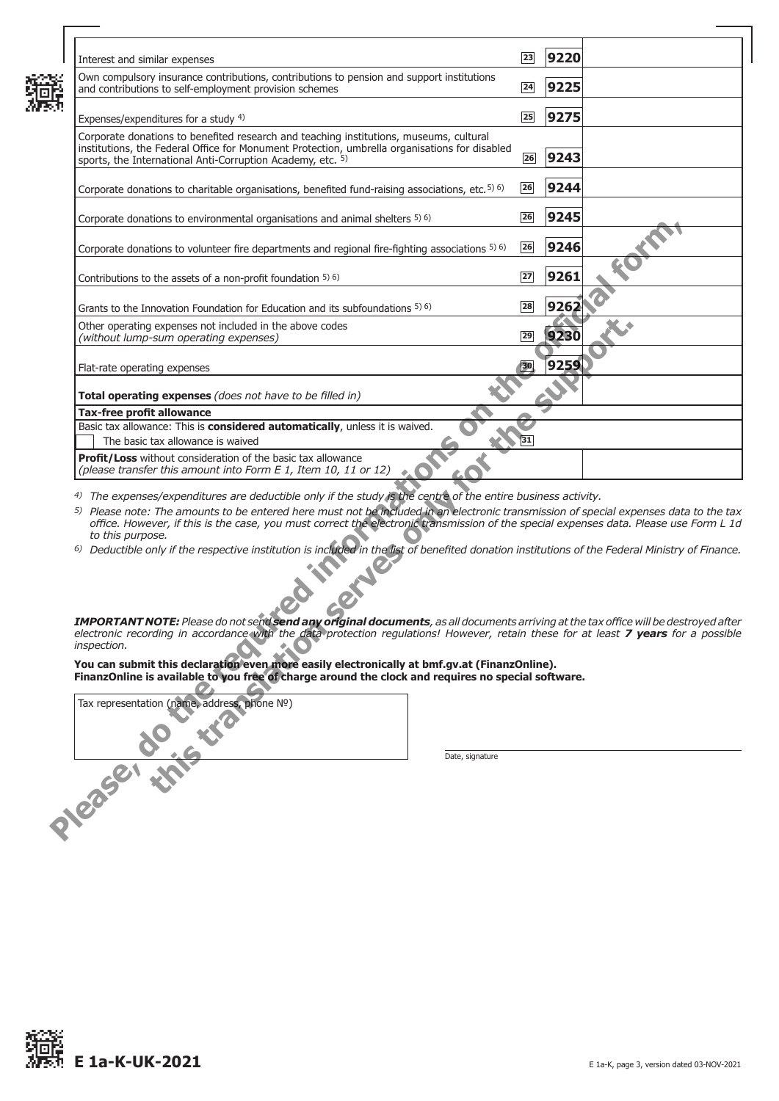| Interest and similar expenses                                                                                                                                                                                                                                                                                                                                                                                      | 23 | 9220 |  |
|--------------------------------------------------------------------------------------------------------------------------------------------------------------------------------------------------------------------------------------------------------------------------------------------------------------------------------------------------------------------------------------------------------------------|----|------|--|
| Own compulsory insurance contributions, contributions to pension and support institutions<br>and contributions to self-employment provision schemes                                                                                                                                                                                                                                                                | 24 | 9225 |  |
| Expenses/expenditures for a study 4)                                                                                                                                                                                                                                                                                                                                                                               | 25 | 9275 |  |
| Corporate donations to benefited research and teaching institutions, museums, cultural<br>institutions, the Federal Office for Monument Protection, umbrella organisations for disabled<br>sports, the International Anti-Corruption Academy, etc. 5)                                                                                                                                                              | 26 | 9243 |  |
| Corporate donations to charitable organisations, benefited fund-raising associations, etc. 5) 6)                                                                                                                                                                                                                                                                                                                   | 26 | 9244 |  |
| Corporate donations to environmental organisations and animal shelters 5) 6)                                                                                                                                                                                                                                                                                                                                       | 26 | 9245 |  |
| Corporate donations to volunteer fire departments and regional fire-fighting associations 5) 6)                                                                                                                                                                                                                                                                                                                    | 26 | 9246 |  |
| Contributions to the assets of a non-profit foundation 5) 6)                                                                                                                                                                                                                                                                                                                                                       | 27 | 9261 |  |
| Grants to the Innovation Foundation for Education and its subfoundations $5\,6$ )                                                                                                                                                                                                                                                                                                                                  | 28 | 926  |  |
| Other operating expenses not included in the above codes<br>(without lump-sum operating expenses)                                                                                                                                                                                                                                                                                                                  | 29 |      |  |
| Flat-rate operating expenses                                                                                                                                                                                                                                                                                                                                                                                       |    | 9259 |  |
| Total operating expenses (does not have to be filled in)                                                                                                                                                                                                                                                                                                                                                           |    |      |  |
| <b>Tax-free profit allowance</b>                                                                                                                                                                                                                                                                                                                                                                                   |    |      |  |
| Basic tax allowance: This is considered automatically, unless it is waived.                                                                                                                                                                                                                                                                                                                                        |    |      |  |
|                                                                                                                                                                                                                                                                                                                                                                                                                    |    |      |  |
| The basic tax allowance is waived                                                                                                                                                                                                                                                                                                                                                                                  |    |      |  |
| Profit/Loss without consideration of the basic tax allowance<br>(please transfer this amount into Form E 1, Item 10, 11 or 12)                                                                                                                                                                                                                                                                                     |    |      |  |
|                                                                                                                                                                                                                                                                                                                                                                                                                    |    |      |  |
| 4) The expenses/expenditures are deductible only if the study is the centre of the entire business activity.<br>5) Please note: The amounts to be entered here must not be included in an electronic transmission of special expenses data to the tax<br>office. However, if this is the case, you must correct the electronic transmission of the special expenses data. Please use Form L 1d<br>to this purpose. |    |      |  |
| <sup>6)</sup> Deductible only if the respective institution is included in the list of benefited donation institutions of the Federal Ministry of Finance.<br>Tredints.                                                                                                                                                                                                                                            |    |      |  |
| IMPORTANT NOTE: Please do not send send any original documents, as all documents arriving at the tax office will be destroyed after<br>electronic recording in accordance with the data protection regulations! However, retain these for at least 7 years for a possible<br><i>inspection.</i>                                                                                                                    |    |      |  |
| You can submit this declaration even more easily electronically at bmf.gv.at (FinanzOnline).<br>FinanzOnline is available to you free of charge around the clock and requires no special software.                                                                                                                                                                                                                 |    |      |  |
| Tax representation (name, address, phone Nº)                                                                                                                                                                                                                                                                                                                                                                       |    |      |  |
|                                                                                                                                                                                                                                                                                                                                                                                                                    |    |      |  |
| Date, signature                                                                                                                                                                                                                                                                                                                                                                                                    |    |      |  |
| Necesar : 1715                                                                                                                                                                                                                                                                                                                                                                                                     |    |      |  |
|                                                                                                                                                                                                                                                                                                                                                                                                                    |    |      |  |
|                                                                                                                                                                                                                                                                                                                                                                                                                    |    |      |  |
|                                                                                                                                                                                                                                                                                                                                                                                                                    |    |      |  |

Tax representation (name, address, phone №)

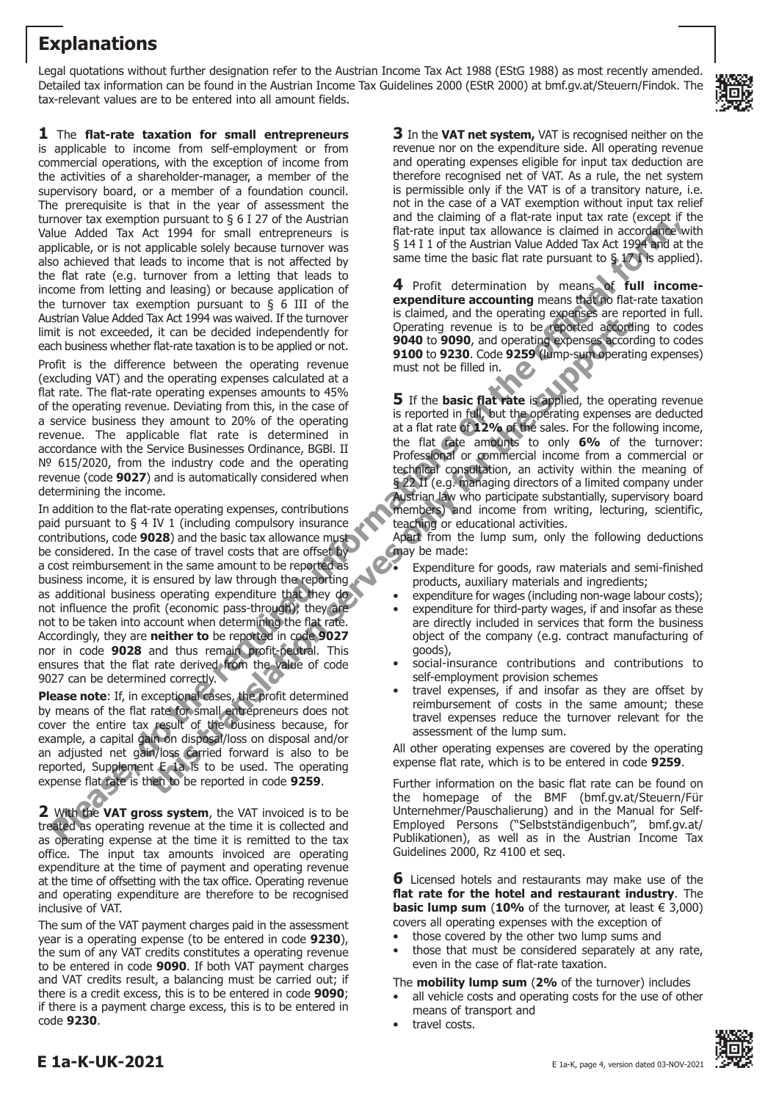# **Explanations**

Legal quotations without further designation refer to the Austrian Income Tax Act 1988 (EStG 1988) as most recently amended. Detailed tax information can be found in the Austrian Income Tax Guidelines 2000 (EStR 2000) at bmf.gv.at/Steuern/Findok. The tax-relevant values are to be entered into all amount fields.



**1** The **flat-rate taxation for small entrepreneurs**

is applicable to income from self-employment or from commercial operations, with the exception of income from the activities of a shareholder-manager, a member of the supervisory board, or a member of a foundation council. The prerequisite is that in the year of assessment the turnover tax exemption pursuant to  $\S$  6 I 27 of the Austrian Value Added Tax Act 1994 for small entrepreneurs is applicable, or is not applicable solely because turnover was also achieved that leads to income that is not affected by the flat rate (e.g. turnover from a letting that leads to income from letting and leasing) or because application of the turnover tax exemption pursuant to  $\S$  6 III of the Austrian Value Added Tax Act 1994 was waived. If the turnover limit is not exceeded, it can be decided independently for each business whether flat-rate taxation is to be applied or not.

Profit is the difference between the operating revenue (excluding VAT) and the operating expenses calculated at a flat rate. The flat-rate operating expenses amounts to 45% of the operating revenue. Deviating from this, in the case of a service business they amount to 20% of the operating revenue. The applicable flat rate is determined in accordance with the Service Businesses Ordinance, BGBl. II № 615/2020, from the industry code and the operating revenue (code **9027**) and is automatically considered when determining the income.

In addition to the flat-rate operating expenses, contributions paid pursuant to § 4 IV 1 (including compulsory insurance contributions, code **9028**) and the basic tax allowance must be considered. In the case of travel costs that are offset by a cost reimbursement in the same amount to be reported as business income, it is ensured by law through the reporting as additional business operating expenditure that they do not influence the profit (economic pass-through); they are not to be taken into account when determining the flat rate. Accordingly, they are **neither to** be reported in code **9027** nor in code **9028** and thus remain profit-neutral. This ensures that the flat rate derived from the value of code 9027 can be determined correctly. Fluence and the rest in the regular control in the regular control in the regular control in the regular control in the regular control in the regular control in the regular control in the regular control in the regular c The translation of the three through the three three three three periods and the expected of the constraints of the support of the constraints of the support of the constraints of the construction of the period of the cons

**Please note**: If, in exceptional cases, the profit determined by means of the flat rate for small entrepreneurs does not cover the entire tax result of the business because, for example, a capital gain on disposal/loss on disposal and/or an adjusted net gain/loss carried forward is also to be reported, Supplement E 1a is to be used. The operating expense flat rate is then to be reported in code **9259**.

**2** With the **VAT gross system**, the VAT invoiced is to be treated as operating revenue at the time it is collected and as operating expense at the time it is remitted to the tax office. The input tax amounts invoiced are operating expenditure at the time of payment and operating revenue at the time of offsetting with the tax office. Operating revenue and operating expenditure are therefore to be recognised inclusive of VAT.

The sum of the VAT payment charges paid in the assessment year is a operating expense (to be entered in code **9230**), the sum of any VAT credits constitutes a operating revenue to be entered in code **9090**. If both VAT payment charges and VAT credits result, a balancing must be carried out; if there is a credit excess, this is to be entered in code **9090**; if there is a payment charge excess, this is to be entered in code **9230**.

**3** In the **VAT net system,** VAT is recognised neither on the revenue nor on the expenditure side. All operating revenue and operating expenses eligible for input tax deduction are therefore recognised net of VAT. As a rule, the net system is permissible only if the VAT is of a transitory nature, i.e. not in the case of a VAT exemption without input tax relief and the claiming of a flat-rate input tax rate (except if the flat-rate input tax allowance is claimed in accordance with § 14 I 1 of the Austrian Value Added Tax Act 1994 and at the same time the basic flat rate pursuant to  $\S 17$  is applied).

**4** Profit determination by means of **full incomeexpenditure accounting** means that no flat-rate taxation is claimed, and the operating expenses are reported in full. Operating revenue is to be reported according to codes **9040** to **9090**, and operating expenses according to codes **9100** to **9230**. Code **9259** (lump-sum operating expenses) must not be filled in.

**5** If the **basic flat rate** is applied, the operating revenue is reported in full, but the operating expenses are deducted at a flat rate of **12%** of the sales. For the following income, the flat rate amounts to only **6%** of the turnover: Professional or commercial income from a commercial or technical consultation, an activity within the meaning of § 22 II (e.g. managing directors of a limited company under Austrian law who participate substantially, supervisory board members) and income from writing, lecturing, scientific, teaching or educational activities.

Apart from the lump sum, only the following deductions may be made:

- Expenditure for goods, raw materials and semi-finished products, auxiliary materials and ingredients;
- expenditure for wages (including non-wage labour costs);
- expenditure for third-party wages, if and insofar as these are directly included in services that form the business object of the company (e.g. contract manufacturing of goods),
- social-insurance contributions and contributions to self-employment provision schemes
- travel expenses, if and insofar as they are offset by reimbursement of costs in the same amount; these travel expenses reduce the turnover relevant for the assessment of the lump sum.

All other operating expenses are covered by the operating expense flat rate, which is to be entered in code **9259**.

Further information on the basic flat rate can be found on the homepage of the BMF (bmf.gv.at/Steuern/Für Unternehmer/Pauschalierung) and in the Manual for Self-Employed Persons ("Selbstständigenbuch", bmf.gv.at/ Publikationen), as well as in the Austrian Income Tax Guidelines 2000, Rz 4100 et seq.

**6** Licensed hotels and restaurants may make use of the **flat rate for the hotel and restaurant industry**. The **basic lump sum (10%** of the turnover, at least  $\in$  3,000) covers all operating expenses with the exception of

- those covered by the other two lump sums and
- those that must be considered separately at any rate, even in the case of flat-rate taxation.

The **mobility lump sum** (**2%** of the turnover) includes

- all vehicle costs and operating costs for the use of other means of transport and
- travel costs.

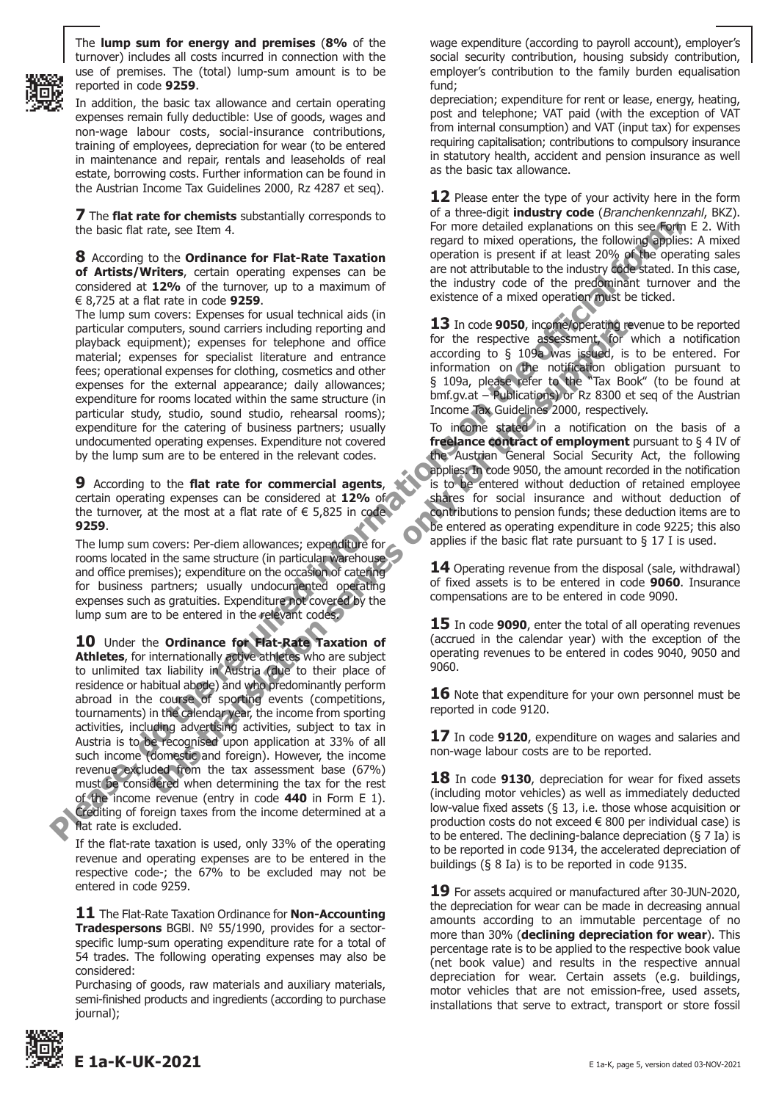

The **lump sum for energy and premises** (**8%** of the turnover) includes all costs incurred in connection with the use of premises. The (total) lump-sum amount is to be reported in code **9259**.

In addition, the basic tax allowance and certain operating expenses remain fully deductible: Use of goods, wages and non-wage labour costs, social-insurance contributions, training of employees, depreciation for wear (to be entered in maintenance and repair, rentals and leaseholds of real estate, borrowing costs. Further information can be found in the Austrian Income Tax Guidelines 2000, Rz 4287 et seq).

**7** The **flat rate for chemists** substantially corresponds to the basic flat rate, see Item 4.

**8** According to the **Ordinance for Flat-Rate Taxation of Artists/Writers**, certain operating expenses can be considered at **12%** of the turnover, up to a maximum of € 8,725 at a flat rate in code **9259**.

The lump sum covers: Expenses for usual technical aids (in particular computers, sound carriers including reporting and playback equipment); expenses for telephone and office material; expenses for specialist literature and entrance fees; operational expenses for clothing, cosmetics and other expenses for the external appearance; daily allowances; expenditure for rooms located within the same structure (in particular study, studio, sound studio, rehearsal rooms); expenditure for the catering of business partners; usually undocumented operating expenses. Expenditure not covered by the lump sum are to be entered in the relevant codes.

**9** According to the **flat rate for commercial agents**, certain operating expenses can be considered at **12%** of the turnover, at the most at a flat rate of  $\epsilon$  5,825 in code **9259**.

The lump sum covers: Per-diem allowances; expenditure for rooms located in the same structure (in particular warehouse and office premises); expenditure on the occasion of catering for business partners; usually undocumented operating expenses such as gratuities. Expenditure not covered by the lump sum are to be entered in the relevant codes.

**10** Under the **Ordinance for Flat-Rate Taxation of Athletes**, for internationally active athletes who are subject to unlimited tax liability in Austria (due to their place of residence or habitual abode) and who predominantly perform abroad in the course of sporting events (competitions, tournaments) in the calendar year, the income from sporting activities, including advertising activities, subject to tax in Austria is to be recognised upon application at 33% of all such income (domestic and foreign). However, the income revenue excluded from the tax assessment base (67%) must be considered when determining the tax for the rest of the income revenue (entry in code **440** in Form E 1). Crediting of foreign taxes from the income determined at a flat rate is excluded. the basic flat note, excitan 4.<br> **Please Control in the control interest on the required in the set of the required in the required in the required in the required in the required in the required in the set of the propert** to the state to teleform and office and the terespected by the server is experimently experiment and office and office the server in the respective detection and the properties and deriver and entrance according to 5 109a,

If the flat-rate taxation is used, only 33% of the operating revenue and operating expenses are to be entered in the respective code-; the 67% to be excluded may not be entered in code 9259.

**11** The Flat-Rate Taxation Ordinance for **Non-Accounting Tradespersons** BGBl. № 55/1990, provides for a sectorspecific lump-sum operating expenditure rate for a total of 54 trades. The following operating expenses may also be considered:

Purchasing of goods, raw materials and auxiliary materials, semi-finished products and ingredients (according to purchase journal);



depreciation; expenditure for rent or lease, energy, heating, post and telephone; VAT paid (with the exception of VAT from internal consumption) and VAT (input tax) for expenses requiring capitalisation; contributions to compulsory insurance in statutory health, accident and pension insurance as well as the basic tax allowance.

**12** Please enter the type of your activity here in the form of a three-digit **industry code** (*Branchenkennzahl*, BKZ). For more detailed explanations on this see Form E 2. With regard to mixed operations, the following applies: A mixed operation is present if at least 20% of the operating sales are not attributable to the industry code stated. In this case, the industry code of the predominant turnover and the existence of a mixed operation must be ticked.

**13** In code **9050**, income/operating revenue to be reported for the respective assessment, for which a notification according to § 109a was issued, is to be entered. For information on the notification obligation pursuant to § 109a, please refer to the "Tax Book" (to be found at bmf.gv.at – Publications) or Rz 8300 et seq of the Austrian Income Tax Guidelines 2000, respectively.

To income stated in a notification on the basis of a **freelance contract of employment** pursuant to § 4 IV of the Austrian General Social Security Act, the following applies: In code 9050, the amount recorded in the notification is to be entered without deduction of retained employee shares for social insurance and without deduction of contributions to pension funds; these deduction items are to be entered as operating expenditure in code 9225; this also applies if the basic flat rate pursuant to  $\S$  17 I is used.

**14** Operating revenue from the disposal (sale, withdrawal) of fixed assets is to be entered in code **9060**. Insurance compensations are to be entered in code 9090.

**15** In code **9090**, enter the total of all operating revenues (accrued in the calendar year) with the exception of the operating revenues to be entered in codes 9040, 9050 and 9060.

**16** Note that expenditure for your own personnel must be reported in code 9120.

**17** In code **9120**, expenditure on wages and salaries and non-wage labour costs are to be reported.

**18** In code **9130**, depreciation for wear for fixed assets (including motor vehicles) as well as immediately deducted low-value fixed assets (§ 13, i.e. those whose acquisition or production costs do not exceed € 800 per individual case) is to be entered. The declining-balance depreciation  $(§ 7 Ia)$  is to be reported in code 9134, the accelerated depreciation of buildings (§ 8 Ia) is to be reported in code 9135.

**19** For assets acquired or manufactured after 30-JUN-2020, the depreciation for wear can be made in decreasing annual amounts according to an immutable percentage of no more than 30% (**declining depreciation for wear**). This percentage rate is to be applied to the respective book value (net book value) and results in the respective annual depreciation for wear. Certain assets (e.g. buildings, motor vehicles that are not emission-free, used assets, installations that serve to extract, transport or store fossil